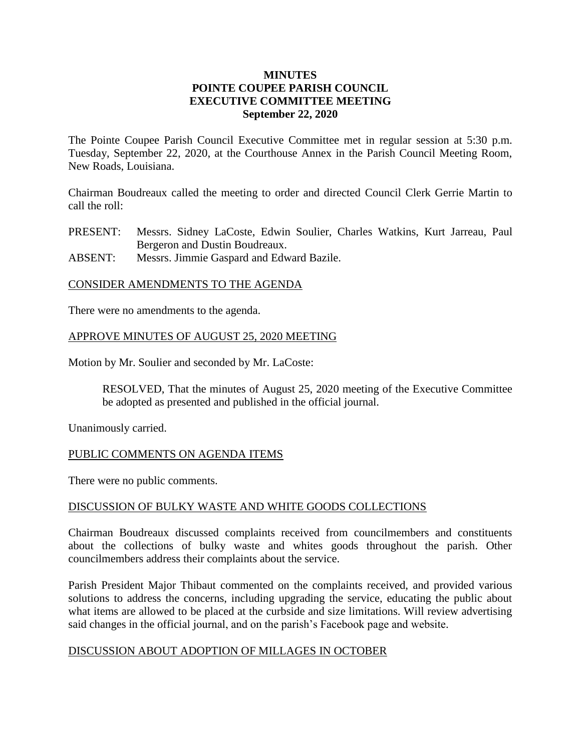### **MINUTES POINTE COUPEE PARISH COUNCIL EXECUTIVE COMMITTEE MEETING September 22, 2020**

The Pointe Coupee Parish Council Executive Committee met in regular session at 5:30 p.m. Tuesday, September 22, 2020, at the Courthouse Annex in the Parish Council Meeting Room, New Roads, Louisiana.

Chairman Boudreaux called the meeting to order and directed Council Clerk Gerrie Martin to call the roll:

- PRESENT: Messrs. Sidney LaCoste, Edwin Soulier, Charles Watkins, Kurt Jarreau, Paul Bergeron and Dustin Boudreaux.
- ABSENT: Messrs. Jimmie Gaspard and Edward Bazile.

### CONSIDER AMENDMENTS TO THE AGENDA

There were no amendments to the agenda.

### APPROVE MINUTES OF AUGUST 25, 2020 MEETING

Motion by Mr. Soulier and seconded by Mr. LaCoste:

RESOLVED, That the minutes of August 25, 2020 meeting of the Executive Committee be adopted as presented and published in the official journal.

Unanimously carried.

### PUBLIC COMMENTS ON AGENDA ITEMS

There were no public comments.

### DISCUSSION OF BULKY WASTE AND WHITE GOODS COLLECTIONS

Chairman Boudreaux discussed complaints received from councilmembers and constituents about the collections of bulky waste and whites goods throughout the parish. Other councilmembers address their complaints about the service.

Parish President Major Thibaut commented on the complaints received, and provided various solutions to address the concerns, including upgrading the service, educating the public about what items are allowed to be placed at the curbside and size limitations. Will review advertising said changes in the official journal, and on the parish's Facebook page and website.

### DISCUSSION ABOUT ADOPTION OF MILLAGES IN OCTOBER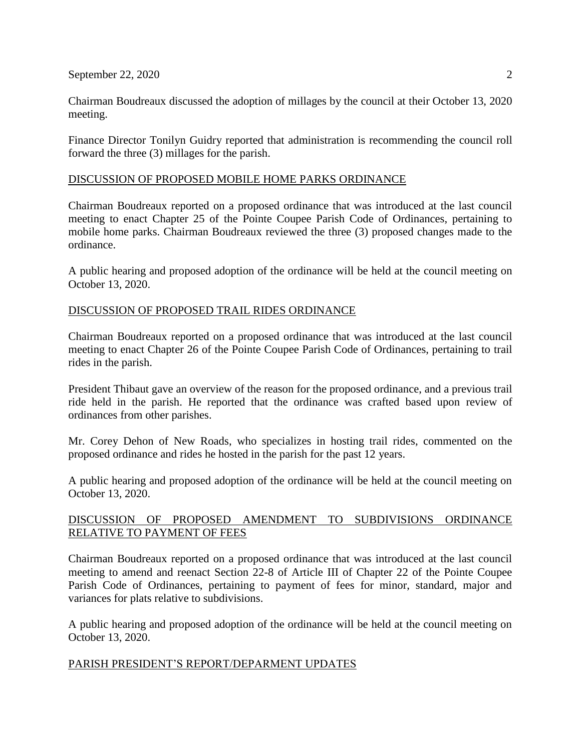September 22, 2020 2

Chairman Boudreaux discussed the adoption of millages by the council at their October 13, 2020 meeting.

Finance Director Tonilyn Guidry reported that administration is recommending the council roll forward the three (3) millages for the parish.

# DISCUSSION OF PROPOSED MOBILE HOME PARKS ORDINANCE

Chairman Boudreaux reported on a proposed ordinance that was introduced at the last council meeting to enact Chapter 25 of the Pointe Coupee Parish Code of Ordinances, pertaining to mobile home parks. Chairman Boudreaux reviewed the three (3) proposed changes made to the ordinance.

A public hearing and proposed adoption of the ordinance will be held at the council meeting on October 13, 2020.

## DISCUSSION OF PROPOSED TRAIL RIDES ORDINANCE

Chairman Boudreaux reported on a proposed ordinance that was introduced at the last council meeting to enact Chapter 26 of the Pointe Coupee Parish Code of Ordinances, pertaining to trail rides in the parish.

President Thibaut gave an overview of the reason for the proposed ordinance, and a previous trail ride held in the parish. He reported that the ordinance was crafted based upon review of ordinances from other parishes.

Mr. Corey Dehon of New Roads, who specializes in hosting trail rides, commented on the proposed ordinance and rides he hosted in the parish for the past 12 years.

A public hearing and proposed adoption of the ordinance will be held at the council meeting on October 13, 2020.

## DISCUSSION OF PROPOSED AMENDMENT TO SUBDIVISIONS ORDINANCE RELATIVE TO PAYMENT OF FEES

Chairman Boudreaux reported on a proposed ordinance that was introduced at the last council meeting to amend and reenact Section 22-8 of Article III of Chapter 22 of the Pointe Coupee Parish Code of Ordinances, pertaining to payment of fees for minor, standard, major and variances for plats relative to subdivisions.

A public hearing and proposed adoption of the ordinance will be held at the council meeting on October 13, 2020.

### PARISH PRESIDENT'S REPORT/DEPARMENT UPDATES